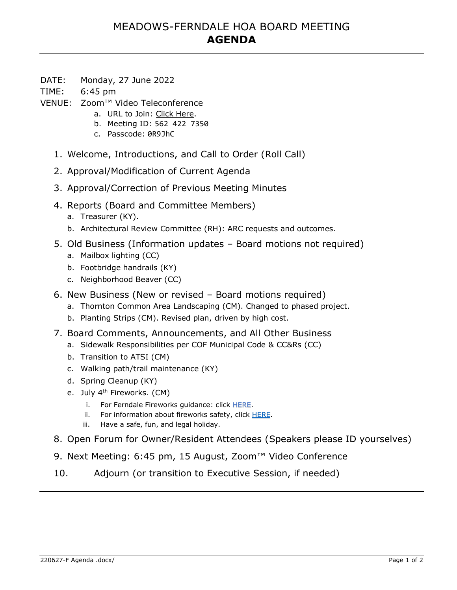# MEADOWS-FERNDALE HOA BOARD MEETING **AGENDA**

- DATE: Monday, 27 June 2022
- TIME: 6:45 pm
- VENUE: Zoom™ Video Teleconference
	- a. URL to Join: Click Here.
	- b. Meeting ID: 562 422 7350
	- c. Passcode: 0R9JhC
	- 1. Welcome, Introductions, and Call to Order (Roll Call)
	- 2. Approval/Modification of Current Agenda
	- 3. Approval/Correction of Previous Meeting Minutes
	- 4. Reports (Board and Committee Members)
		- a. Treasurer (KY).
		- b. Architectural Review Committee (RH): ARC requests and outcomes.
	- 5. Old Business (Information updates Board motions not required)
		- a. Mailbox lighting (CC)
		- b. Footbridge handrails (KY)
		- c. Neighborhood Beaver (CC)
	- 6. New Business (New or revised Board motions required)
		- a. Thornton Common Area Landscaping (CM). Changed to phased project.
		- b. Planting Strips (CM). Revised plan, driven by high cost.
	- 7. Board Comments, Announcements, and All Other Business
		- a. Sidewalk Responsibilities per COF Municipal Code & CC&Rs (CC)
		- b. Transition to ATSI (CM)
		- c. Walking path/trail maintenance (KY)
		- d. Spring Cleanup (KY)
		- e. July 4<sup>th</sup> Fireworks. (CM)
			- i. For Ferndale Fireworks guidance: click HERE.
			- ii. For information about fireworks safety, click HERE.
			- iii. Have a safe, fun, and legal holiday.
	- 8. Open Forum for Owner/Resident Attendees (Speakers please ID yourselves)
	- 9. Next Meeting: 6:45 pm, 15 August, Zoom™ Video Conference
	- 10. Adjourn (or transition to Executive Session, if needed)